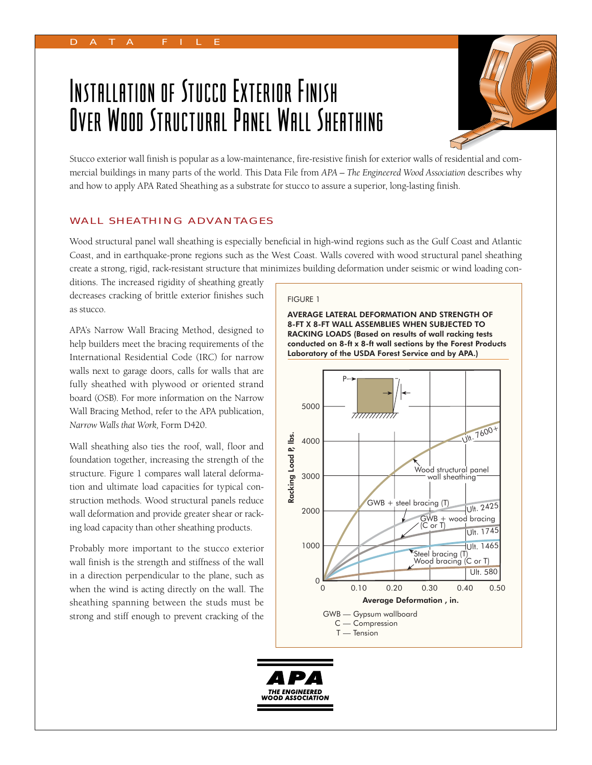# Installation of Stucco Exterior Finish Over Wood Structural Panel Wall Sheathing



Stucco exterior wall finish is popular as a low-maintenance, fire-resistive finish for exterior walls of residential and commer cial buildings in many parts of the world. This Data File from *APA – The Engineered Wood Association* describes why and how to apply APA Rated Sheathing as a substrate for stucco to assure a superior, long-lasting finish.

# WALL SHEATHING ADVANTAGES

Wood structural panel wall sheathing is especially beneficial in high-wind regions such as the Gulf Coast and Atlantic Coast, and in earthquake-prone regions such as the West Coast. Walls covered with wood structural panel sheathing create a strong, rigid, rack-resistant structure that minimizes building deformation under seismic or wind loading con-

ditions. The increased rigidity of sheathing greatly decreases cracking of brittle exterior finishes such as stucco.

APA's Narrow Wall Bracing Method, designed to help builders meet the bracing requirements of the International Residential Code (IRC) for narrow walls next to garage doors, calls for walls that are fully sheathed with plywood or oriented strand board (OSB). For more information on the Narrow Wall Bracing Method, refer to the APA publication, *Narrow Walls that Work,* Form D420.

Wall sheathing also ties the roof, wall, floor and foundation together, increasing the strength of the structure. Figure 1 compares wall lateral deformation and ultimate load capacities for typical construction methods. Wood structural panels reduce wall deformation and provide greater shear or racking load capacity than other sheathing products.

Probably more important to the stucco exterior wall finish is the strength and stiffness of the wall in a direction perpendicular to the plane, such as when the wind is acting directly on the wall. The sheathing spanning between the studs must be strong and stiff enough to prevent cracking of the

#### FIGURE 1





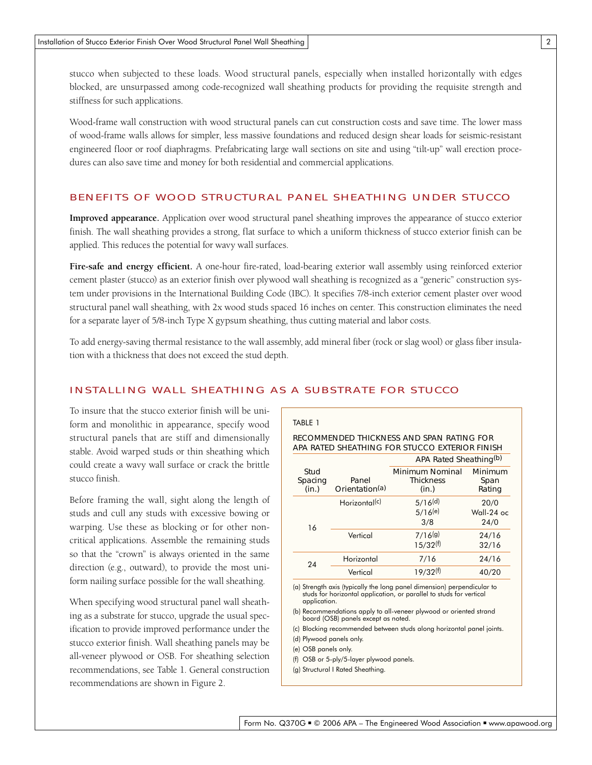stucco when subjected to these loads. Wood structural panels, especially when installed horizontally with edges blocked, are unsurpassed among code-recognized wall sheathing products for providing the requisite strength and stiffness for such applications.

Wood-frame wall construction with wood structural panels can cut construction costs and save time. The lower mass of wood-frame walls allows for simpler, less massive foundations and reduced design shear loads for seismic-resistant engineered floor or roof diaphragms. Prefabricating large wall sections on site and using "tilt-up" wall erection procedures can also save time and money for both residential and commercial applications.

## BENEFITS OF WOOD STRUCTURAL PANEL SHEATHING UNDER STUCCO

**Improved appearance**. Application over wood structural panel sheathing improves the appearance of stucco exterior finish. The wall sheathing provides a strong, flat surface to which a uniform thickness of stucco exterior finish can be applied. This reduces the potential for wavy wall surfaces.

**Fire-safe and energy efficient.** A one-hour fire-rated, load-bearing exterior wall assembly using reinforced exterior cement plaster (stucco) as an exterior finish over plywood wall sheathing is recognized as a "generic" construction system under provisions in the International Building Code (IBC). It specifies 7/8-inch exterior cement plaster over wood structural panel wall sheathing, with 2x wood studs spaced 16 inches on center. This construction eliminates the need for a separate layer of 5/8-inch Type X gypsum sheathing, thus cutting material and labor costs.

To add energy-saving thermal resistance to the wall assembly, add mineral fiber (rock or slag wool) or glass fiber insulation with a thickness that does not exceed the stud depth.

## INSTALLING WALL SHEATHING AS A SUBSTRATE FOR STUCCO

To insure that the stucco exterior finish will be uniform and monolithic in appearance, specify wood structural panels that are stiff and dimensionally stable. Avoid warped studs or thin sheathing which could create a wavy wall surface or crack the brittle stucco finish.

Before framing the wall, sight along the length of studs and cull any studs with excessive bowing or warping. Use these as blocking or for other noncritical applications. Assemble the remaining studs so that the "crown" is always oriented in the same direction (e.g., outward), to provide the most uniform nailing surface possible for the wall sheathing.

When specifying wood structural panel wall sheathing as a substrate for stucco, upgrade the usual specification to provide improved performance under the stucco exterior finish. Wall sheathing panels may be all-veneer plywood or OSB. For sheathing selection recommendations, see Table 1. General construction recommendations are shown in Figure 2.

#### TABLE 1

## RECOMMENDED THICKNESS AND SPAN RATING FOR APA RATED SHEATHING FOR STUCCO EXTERIOR FINISH

|                          |                                     | APA Rated Sheathing(b)                              |                              |
|--------------------------|-------------------------------------|-----------------------------------------------------|------------------------------|
| Stud<br>Spacing<br>(in.) | Panel<br>Orientation <sup>(a)</sup> | <b>Minimum Nominal</b><br><b>Thickness</b><br>(in.) | Minimum<br>Span<br>Rating    |
| 16                       | Horizontal <sup>(c)</sup>           | 5/16 <sup>(d)</sup><br>5/16(e)<br>3/8               | 20/0<br>$Wall-24$ oc<br>24/0 |
|                          | Vertical                            | 7/16(g)<br>15/32(f)                                 | 24/16<br>32/16               |
| 24                       | Horizontal                          | 7/16                                                | 24/16                        |
|                          | Vertical                            | 19/32 <sup>(f)</sup>                                | 40/20                        |

(a) Strength axis (typically the long panel dimension) perpendicular to studs for horizontal application, or parallel to studs for vertical application.

(b) Recommendations apply to all-veneer plywood or oriented strand board (OSB) panels except as noted.

(c) Blocking recommended between studs along horizontal panel joints.

(d) Plywood panels only.

(e) OSB panels only.

(f) OSB or 5-ply/5-layer plywood panels.

(g) Structural I Rated Sheathing.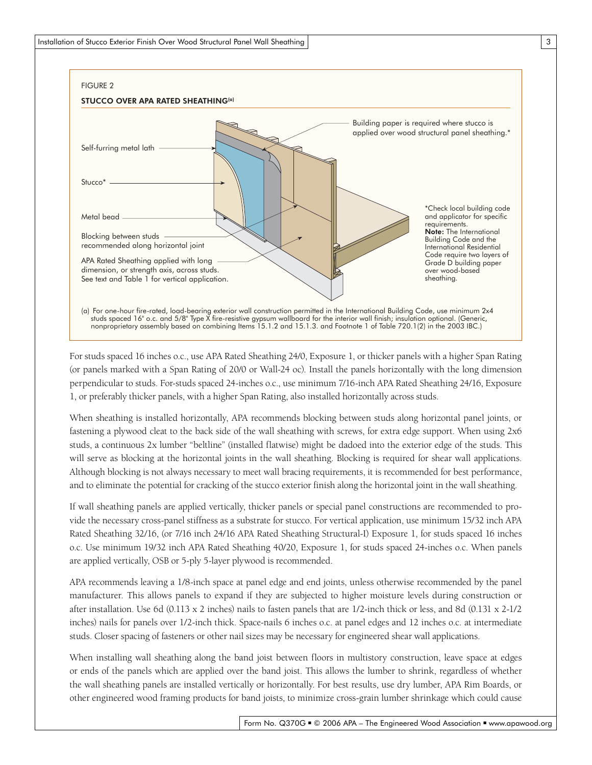

For studs spaced 16 inches o.c., use APA Rated Sheathing 24/0, Exposure 1, or thicker panels with a higher Span Rating (or panels marked with a Span Rating of 20/0 or Wall-24 oc). Install the panels horizontally with the long dimension per pendicular to studs. For-studs spaced 24-inches o.c., use minimum 7/16-inch APA Rated Sheathing 24/16, Exposure 1, or preferably thicker panels, with a higher Span Rating, also installed horizontally across studs.

When sheathing is installed horizontally, APA recommends blocking between studs along horizontal panel joints, or fastening a plywood cleat to the back side of the wall sheathing with screws, for extra edge support. When using 2x6 studs, a continuous 2x lumber "belt line" (installed flatwise) might be dadoed into the exterior edge of the studs. This will serve as blocking at the horizontal joints in the wall sheathing. Blocking is required for shear wall applications. Although blocking is not always necessary to meet wall bracing requirements, it is recommended for best performance, and to eliminate the potential for cracking of the stucco exterior finish along the horizontal joint in the wall sheathing.

If wall sheathing panels are applied vertically, thicker panels or special panel constructions are recommended to provide the necessary cross-panel stiffness as a substrate for stucco. For vertical application, use minimum 15/32 inch APA Rated Sheathing 32/16, (or 7/16 inch 24/16 APA Rated Sheathing Structural-I) Exposure 1, for studs spaced 16 inches o.c. Use minimum 19/32 inch APA Rated Sheathing 40/20, Exposure 1, for studs spaced 24-inches o.c. When panels are applied vertically, OSB or 5-ply 5-layer plywood is recommended.

APA recommends leaving a 1/8-inch space at panel edge and end joints, unless otherwise recommended by the panel manufacturer. This allows panels to expand if they are subjected to higher moisture levels during construction or after installation. Use 6d (0.113 x 2 inches) nails to fasten panels that are 1/2-inch thick or less, and 8d (0.131 x 2-1/2 inches) nails for panels over 1/2-inch thick. Space-nails 6 inches o.c. at panel edges and 12 inches o.c. at intermediate studs. Closer spacing of fasteners or other nail sizes may be necessary for engineered shear wall applications.

When installing wall sheathing along the band joist between floors in multistory construction, leave space at edges or ends of the panels which are applied over the band joist. This allows the lumber to shrink, regardless of whether the wall sheathing panels are installed vertically or horizontally. For best results, use dry lumber, APA Rim Boards, or other engineered wood framing products for band joists, to minimize cross-grain lumber shrinkage which could cause

3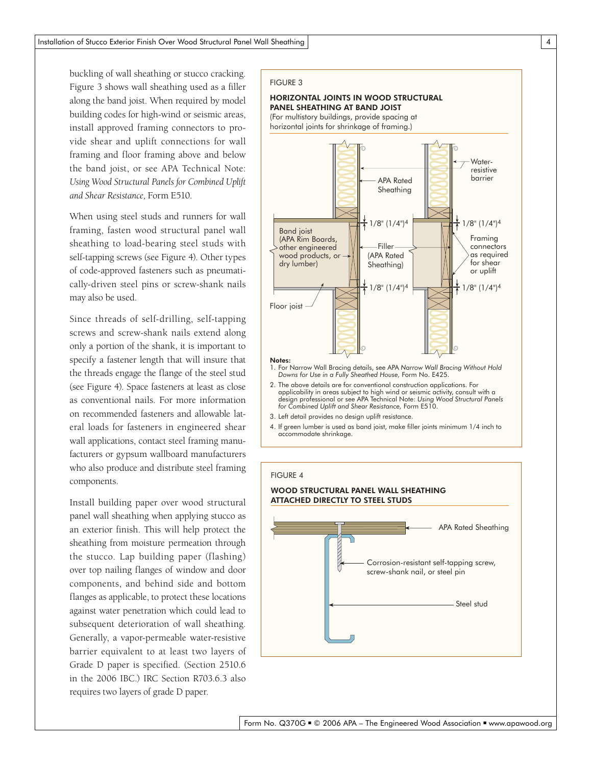buckling of wall sheathing or stucco cracking. Figure 3 shows wall sheathing used as a filler along the band joist. When required by model building codes for high-wind or seismic areas, install approved framing connectors to provide shear and uplift connections for wall framing and floor framing above and below the band joist, or see APA Technical Note: *Using Wood Structural Panels for Combined Uplift and Shear Resistance,* Form E510.

When using steel studs and runners for wall framing, fasten wood structural panel wall sheathing to load-bearing steel studs with self-tapping screws (see Figure 4). Other types of code-approved fasteners such as pneumatically-driven steel pins or screw-shank nails may also be used.

Since threads of self-drilling, self-tapping screws and screw-shank nails extend along only a portion of the shank, it is important to specify a fastener length that will insure that the threads engage the flange of the steel stud (see Figure 4). Space fasteners at least as close as conventional nails. For more information on recommended fasteners and allowable lateral loads for fasteners in engineered shear wall applications, contact steel framing manufacturers or gypsum wallboard manufacturers who also produce and distribute steel framing components.

Install building paper over wood structural panel wall sheathing when applying stucco as an exterior finish. This will help protect the sheathing from moisture permeation through the stucco. Lap building paper (flashing) over top nailing flanges of window and door components, and behind side and bottom flanges as applicable, to protect these locations against water penetration which could lead to subsequent deterioration of wall sheathing. Generally, a vapor-permeable water-resistive barrier equivalent to at least two layers of Grade D paper is specified. (Section 2510.6 in the 2006 IBC.) IRC Section R703.6.3 also requires two layers of grade D paper.

#### FIGURE 3

## HORIZONTAL JOINTS IN WOOD STRUCTURAL PANEL SHEATHING AT BAND JOIST

(For multistory buildings, provide spacing at horizontal joints for shrinkage of framing.)



- applicability in areas subject to high wind or seismic activity, consult with a design professional or see APA Technical Note: *Using Wood Structural Panels for Combined Uplift and Shear Resistance,* Form E510.
- 3. Left detail provides no design uplift resistance.
- 4. If green lumber is used as band joist, make filler joints minimum 1/4 inch to accommodate shrinkage.

## FIGURE 4

#### WOOD STRUCTURAL PANEL WALL SHEATHING ATTACHED DIRECTLY TO STEEL STUDS

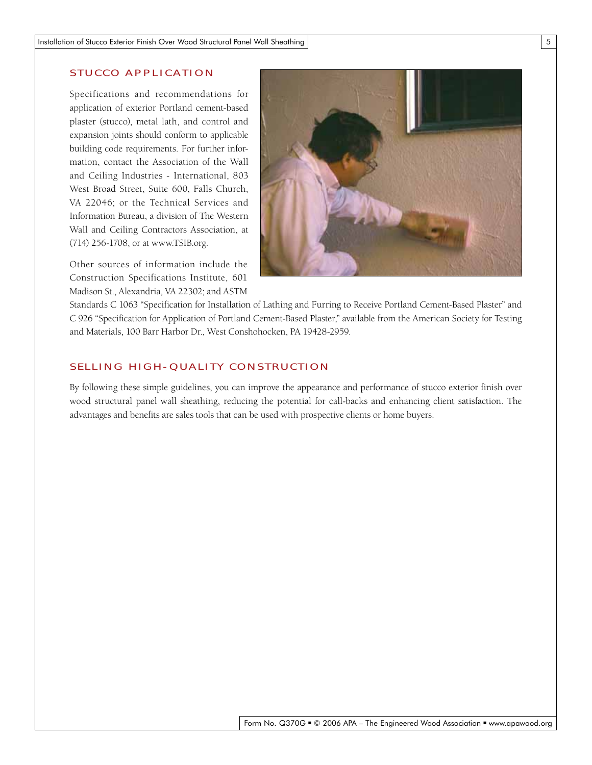# STUCCO APPLICATION

Specifications and recommendations for application of exterior Portland cement-based plaster (stucco), metal lath, and control and expansion joints should conform to applicable building code requirements. For further information, contact the Association of the Wall and Ceiling Industries - International, 803 West Broad Street, Suite 600, Falls Church, VA 22046; or the Technical Services and Information Bureau, a division of The Western Wall and Ceiling Contractors Association, at (714) 256-1708, or at www.TSIB.org.

Other sources of information include the Construction Specifications Institute, 601 Madison St., Alexandria, VA 22302; and ASTM



Standards C 1063 "Specification for Installation of Lathing and Furring to Receive Portland Cement-Based Plaster" and C 926 "Specification for Application of Portland Cement-Based Plaster," available from the American Society for Testing and Materials, 100 Barr Harbor Dr., West Conshohocken, PA 19428-2959.

# SELLING HIGH-QUALITY CONSTRUCTION

By following these simple guidelines, you can improve the appearance and performance of stucco exterior finish over wood structural panel wall sheathing, reducing the potential for call-backs and enhancing client satisfaction. The advantages and benefits are sales tools that can be used with prospective clients or home buyers.

5